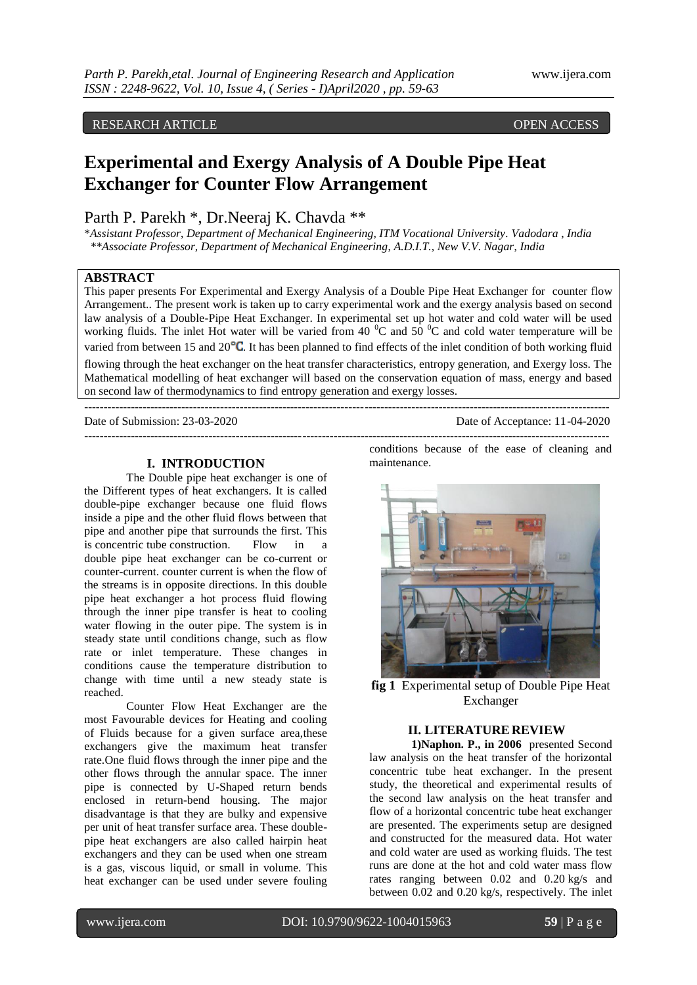# RESEARCH ARTICLE **ARTICLE** And the contract of the contract of the contract of the contract of the contract of the contract of the contract of the contract of the contract of the contract of the contract of the contract of

# **Experimental and Exergy Analysis of A Double Pipe Heat Exchanger for Counter Flow Arrangement**

# Parth P. Parekh \*, Dr.Neeraj K. Chavda \*\*

\**Assistant Professor*, *Department of Mechanical Engineering, ITM Vocational University. Vadodara* , *India \*\*Associate Professor, Department of Mechanical Engineering*, *A.D.I.T., New V.V. Nagar*, *India*

# **ABSTRACT**

This paper presents For Experimental and Exergy Analysis of a Double Pipe Heat Exchanger for counter flow Arrangement.. The present work is taken up to carry experimental work and the exergy analysis based on second law analysis of a Double-Pipe Heat Exchanger. In experimental set up hot water and cold water will be used working fluids. The inlet Hot water will be varied from 40  $^{\circ}$ C and 50  $^{\circ}$ C and cold water temperature will be varied from between 15 and  $20^{\circ}$ C. It has been planned to find effects of the inlet condition of both working fluid

flowing through the heat exchanger on the heat transfer characteristics, entropy generation, and Exergy loss. The Mathematical modelling of heat exchanger will based on the conservation equation of mass, energy and based on second law of thermodynamics to find entropy generation and exergy losses.

---------------------------------------------------------------------------------------------------------------------------------------

---------------------------------------------------------------------------------------------------------------------------------------

Date of Submission: 23-03-2020 Date of Acceptance: 11-04-2020

#### **I. INTRODUCTION**

The Double pipe heat exchanger is one of the Different types of heat exchangers. It is called double-pipe exchanger because one fluid flows inside a pipe and the other fluid flows between that pipe and another pipe that surrounds the first. This is concentric tube construction. Flow in a double pipe heat exchanger can be co-current or counter-current. counter current is when the flow of the streams is in opposite directions. In this double pipe heat exchanger a hot process fluid flowing through the inner pipe transfer is heat to cooling water flowing in the outer pipe. The system is in steady state until conditions change, such as flow rate or inlet temperature. These changes in conditions cause the temperature distribution to change with time until a new steady state is reached.

Counter Flow Heat Exchanger are the most Favourable devices for Heating and cooling of Fluids because for a given surface area,these exchangers give the maximum heat transfer rate.One fluid flows through the inner pipe and the other flows through the annular space. The inner pipe is connected by U-Shaped return bends enclosed in return-bend housing. The major disadvantage is that they are bulky and expensive per unit of heat transfer surface area. These doublepipe heat exchangers are also called hairpin heat exchangers and they can be used when one stream is a gas, viscous liquid, or small in volume. This heat exchanger can be used under severe fouling conditions because of the ease of cleaning and maintenance.



**fig 1** Experimental setup of Double Pipe Heat Exchanger

#### **II. LITERATURE REVIEW**

**1)Naphon. P., in 2006** presented [Second](http://www.sciencedirect.com/science/article/pii/S0735193306001060)  law analysis on the heat [transfer of the horizontal](http://www.sciencedirect.com/science/article/pii/S0735193306001060)  concentric tube [heat exchanger.](http://www.sciencedirect.com/science/article/pii/S0735193306001060) In the present study, the theoretical and experimental results of the second law analysis on the heat transfer and flow of a horizontal concentric tube heat exchanger are presented. The experiments setup are designed and constructed for the measured data. Hot water and cold water are used as working fluids. The test runs are done at the hot and cold water mass flow rates ranging between 0.02 and 0.20 kg/s and between 0.02 and 0.20 kg/s, respectively. The inlet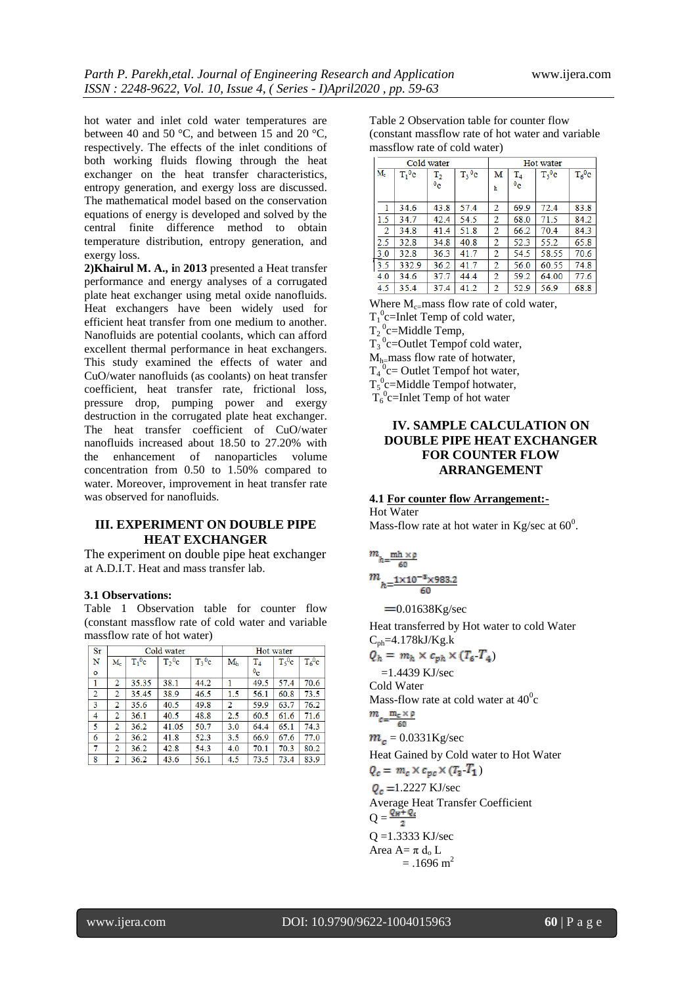hot water and inlet cold water temperatures are between 40 and 50 °C, and between 15 and 20 °C, respectively. The effects of the inlet conditions of both working fluids flowing through the heat exchanger on the heat transfer characteristics, entropy generation, and exergy loss are discussed. The mathematical model based on the conservation equations of energy is developed and solved by the central finite difference method to obtain temperature distribution, entropy generation, and exergy loss.

**2)Khairul M. A., i**n **2013** presented a Heat transfer performance and energy analyses of a corrugated plate heat exchanger using metal oxide nanofluids. Heat exchangers have been widely used for efficient heat transfer from one medium to another. Nanofluids are potential coolants, which can afford excellent thermal performance in heat exchangers. This study examined the effects of water and CuO/water nanofluids (as coolants) on heat transfer coefficient, heat transfer rate, frictional loss, pressure drop, pumping power and exergy destruction in the corrugated plate heat exchanger. The heat transfer coefficient of CuO/water nanofluids increased about 18.50 to 27.20% with the enhancement of nanoparticles volume concentration from 0.50 to 1.50% compared to water. Moreover, improvement in heat transfer rate was observed for nanofluids.

# **III. EXPERIMENT ON DOUBLE PIPE HEAT EXCHANGER**

The experiment on double pipe heat exchanger at A.D.I.T. Heat and mass transfer lab.

#### **3.1 Observations:**

Table 1 Observation table for counter flow (constant massflow rate of cold water and variable massflow rate of hot water)

| Sr |                |           | Cold water          | Hot water            |                |                |          |          |  |
|----|----------------|-----------|---------------------|----------------------|----------------|----------------|----------|----------|--|
| N  | $M_c$          | $T_1^0$ c | $T2$ <sup>0</sup> c | $T_3$ <sup>0</sup> c | $M_h$          | $T_{4}$        | $T_5^0c$ | $T_6^0c$ |  |
| o  |                |           |                     |                      |                | 0 <sub>c</sub> |          |          |  |
| 1  | 2              | 35.35     | 38.1                | 44.2                 |                | 49.5           | 57.4     | 70.6     |  |
| 2  | 2              | 35.45     | 38.9                | 46.5                 | 1.5            | 56.1           | 60.8     | 73.5     |  |
| 3  | $\overline{2}$ | 35.6      | 40.5                | 49.8                 | $\overline{2}$ | 59.9           | 63.7     | 76.2     |  |
| 4  | 2              | 36.1      | 40.5                | 48.8                 | 2.5            | 60.5           | 61.6     | 71.6     |  |
| 5  | 2              | 36.2      | 41.05               | 50.7                 | 3.0            | 64.4           | 65.1     | 74.3     |  |
| 6  | $\overline{2}$ | 36.2      | 41.8                | 52.3                 | 3.5            | 66.9           | 67.6     | 77.0     |  |
| 7  | 2              | 36.2      | 42.8                | 54.3                 | 4.0            | 70.1           | 70.3     | 80.2     |  |
| 8  | 2              | 36.2      | 43.6                | 56.1                 | 4.5            | 73.5           | 73.4     | 83.9     |  |

Table 2 Observation table for counter flow (constant massflow rate of hot water and variable massflow rate of cold water)

|       |                            | Cold water |                      | Hot water      |          |                   |           |  |  |  |
|-------|----------------------------|------------|----------------------|----------------|----------|-------------------|-----------|--|--|--|
| $M_c$ | $T_1^0c$<br>$\mathrm{T}_2$ |            | $T_3$ <sup>0</sup> c | м              | $T_4$    | T <sub>5</sub> °c | $T_6^0$ c |  |  |  |
|       |                            | $^{0}$ c   |                      | h              | $^{0}$ c |                   |           |  |  |  |
|       |                            |            |                      |                |          |                   |           |  |  |  |
| 1     | 34.6                       | 43.8       | 57.4                 | 2              | 69.9     | 72.4              | 83.8      |  |  |  |
| 1.5   | 34.7                       | 42.4       | 54.5                 | 2              | 68.0     | 71.5              | 84.2      |  |  |  |
| 2     | 34.8                       | 41.4       | 51.8                 | 2              | 66.2     | 70.4              | 84.3      |  |  |  |
| 2.5   | 32.8                       | 34.8       | 40.8                 | $\overline{2}$ | 52.3     | 55.2              | 65.8      |  |  |  |
| 3.0   | 32.8                       | 36.3       | 41.7                 | 2              | 54.5     | 58.55             | 70.6      |  |  |  |
| 3.5   | 332.9                      | 36.2       | 41.7                 | $\overline{2}$ | 56.0     | 60.55             | 74.8      |  |  |  |
| 4.0   | 34.6                       | 37.7       | 44.4                 | 2              | 59.2     | 64.00             | 77.6      |  |  |  |
| 4.5   | 35.4                       | 37.4       | 41.2                 | $\overline{2}$ | 52.9     | 56.9              | 68.8      |  |  |  |

Where  $M_{c}$  mass flow rate of cold water,

 $T_1^0$ c=Inlet Temp of cold water,

 $T_2^0$ c=Middle Temp,

 $T_3^0$ c=Outlet Tempof cold water,

 $M_h$ <sup>-</sup>mass flow rate of hotwater,

 $T_4^0$ c= Outlet Tempof hot water,

 $T_5^0$ c=Middle Tempof hotwater,

 $T_6^0$ c=Inlet Temp of hot water

# **IV. SAMPLE CALCULATION ON DOUBLE PIPE HEAT EXCHANGER FOR COUNTER FLOW ARRANGEMENT**

## **4.1 For counter flow Arrangement:-**

Hot Water Mass-flow rate at hot water in Kg/sec at  $60^0$ .

$$
\begin{array}{l} m_{h=\frac{\text{mh}\times \text{p}}{60}}\\ m_{h=\frac{1\times 10^{-3}\times 983.2}{60}} \end{array}
$$

 $=0.01638$ Kg/sec

Heat transferred by Hot water to cold Water  $C_{ph}$ =4.178kJ/Kg.k  $Q_h = m_h \times c_{ph} \times (T_6 \ T_4)$ 

 $=1.4439$  KJ/sec

Cold Water Mass-flow rate at cold water at  $40^0\mathrm{c}$  $m_{c=\frac{m_c \times \rho}{60}}$ 

 $m_c = 0.0331$ Kg/sec

Heat Gained by Cold water to Hot Water  $Q_c = m_c \times c_{pc} \times (T_3 \ T_1)$ 

 $Q_c = 1.2227$  KJ/sec

Average Heat Transfer Coefficient  $Q = \frac{Q_H + Q_c}{2}$ Q =1.3333 KJ/sec

Area A=  $\pi$  d<sub>o</sub> L  $= .1696$  m<sup>2</sup>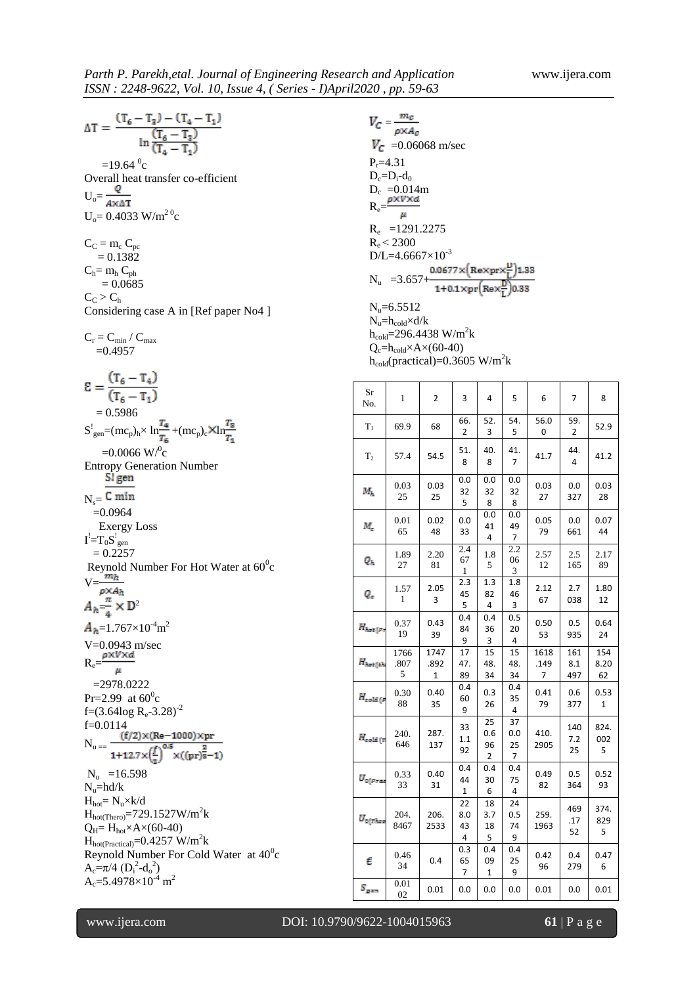$\Delta T = \frac{(T_6 - T_3) - (T_4 - T_1)}{\ln \frac{(T_6 - T_3)}{(T_4 - T_1)}}$  $=19.64 \text{ °C}$ Overall heat transfer co-efficient  $U_o = \frac{Q}{A \times \Delta T}$  $U_0 = 0.4033$  W/m<sup>20</sup>c  $C_C = m_c C_{pc}$  $= 0.1382$  $C_h= m_h C_{ph}$  $= 0.0685$  $C_C > C_h$ Considering case A in [Ref paper No4 ]  $C_r = C_{\text{min}}$  /  $C_{\text{max}}$  $=0.4957$  $\mathcal{E} = \frac{(T_6 - T_4)}{(T_6 - T_1)}$  $= 0.5986$  $S_{gen}^! = (mc_p)_h \times ln\frac{m}{T} + (mc_p)_c$ XIn  $=0.0066$  W/<sup>0</sup>c Entropy Generation Number<br>S! gen  $N<sub>s</sub>=$  C min  $=0.0964$  Exergy Loss  ${\rm I}^!$   $\! =$   $\!{\rm T}_0{\rm S}^!$   $_{\rm gen}$  $= 0.2257$ Reynold Number For Hot Water at  $60^0$ c  $V=$  $=\frac{n}{4} \times D^2$  $=1.767\times10^{-4}$ m<sup>2</sup> V=0.0943 m/sec  $R_e = \frac{\rho \times V \times d}{\rho}$  $\mu$  =2978.0222  $Pr=2.99$  at  $60^0c$ f=(3.64log  $R_e$ -3.28)<sup>-2</sup> f=0.0114<br>N<sub>r =</sub>  $\frac{(f/2)\times (Re-1000)\times pr}{(f/2)(Re-1000)}$  $N_u = \frac{(1.5)(1.00 \times 10^{24} \text{ J})}{1 + 12.7 \times (\frac{f}{r})^{0.5} \times ((pr)^{\frac{2}{3}} - 1)}$  $N_u$  =16.598  $N_u$ =hd/k  $H_{hot} = N_u \times k/d$  $H_{hot(Thero)} = 729.1527 W/m<sup>2</sup>k$  $Q_H = H_{hot} \times A \times (60-40)$  $H_{hot(Practical)} = 0.4257 W/m^2k$ Reynold Number For Cold Water at  $40^{\circ}$ c  $A_c = \pi/4 (D_i^2 - d_o^2)$  $A_c = 5.4978 \times 10^{-4}$  m<sup>2</sup>

| $V_C = \frac{m_C}{\rho \times A_C}$<br>$V_C$ =0.06068 m/sec<br>$P_r = 4.31$<br>$D_c=D_i-d_0$<br>$D_c = 0.014m$<br>$R_e = \frac{\rho \times V \times d}{\mu}$<br>$R_e$ = 1291.2275<br>$R_e < 2300$<br>$D/L = 4.6667 \times 10^{-3}$<br>N <sub>u</sub> = 3.657+ $\frac{0.0677 \times (Re \times pr \times \frac{D}{L})1.33}{1 + 0.1 \times pr(Re \times \frac{D}{L})0.33}$<br>$N_{\rm u} = 6.5512$<br>$N_u = h_{cold} \times d/k$<br>$h_{cold} = 296.4438$ W/m <sup>2</sup> k<br>$Q_c = h_{cold} \times A \times (60-40)$<br>$h_{cold}(practical) = 0.3605 W/m2k$ |                   |                   |                      |                      |                      |                   |                   |                   |  |
|-----------------------------------------------------------------------------------------------------------------------------------------------------------------------------------------------------------------------------------------------------------------------------------------------------------------------------------------------------------------------------------------------------------------------------------------------------------------------------------------------------------------------------------------------------------------|-------------------|-------------------|----------------------|----------------------|----------------------|-------------------|-------------------|-------------------|--|
| Sr<br>No.                                                                                                                                                                                                                                                                                                                                                                                                                                                                                                                                                       | 1                 | 2                 | 3                    | 4                    | 5                    | 6                 | 7                 | 8                 |  |
| $\rm T_{1}$                                                                                                                                                                                                                                                                                                                                                                                                                                                                                                                                                     | 69.9              | 68                | 66.<br>2             | 52.<br>3             | 54.<br>5             | 56.0<br>0         | 59.<br>2          | 52.9              |  |
| T <sub>2</sub>                                                                                                                                                                                                                                                                                                                                                                                                                                                                                                                                                  | 57.4              | 54.5              | 51.<br>8             | 40.<br>8             | 41.<br>7             | 41.7              | 44.<br>4          | 41.2              |  |
| $M_{\rm h}$                                                                                                                                                                                                                                                                                                                                                                                                                                                                                                                                                     | 0.03<br>25        | 0.03<br>25        | 0.0<br>32<br>5       | 0.0<br>32<br>8       | 0.0<br>32<br>8       | 0.03<br>27        | 0.0<br>327        | 0.03<br>28        |  |
| М,                                                                                                                                                                                                                                                                                                                                                                                                                                                                                                                                                              | 0.01<br>65        | 0.02<br>48        | 0.0<br>33            | 0.0<br>41<br>4       | 0.0<br>49<br>7       | 0.05<br>79        | 0.0<br>661        | 0.07<br>44        |  |
| Qr.                                                                                                                                                                                                                                                                                                                                                                                                                                                                                                                                                             | 1.89<br>27        | 2.20<br>81        | 2.4<br>67<br>1       | 1.8<br>5             | 2.2<br>06<br>3       | 2.57<br>12        | 2.5<br>165        | 2.17<br>89        |  |
| Q,                                                                                                                                                                                                                                                                                                                                                                                                                                                                                                                                                              | 1.57<br>1         | 2.05<br>3         | 2.3<br>45<br>5       | 1.3<br>82<br>4       | 1.8<br>46<br>3       | 2.12<br>67        | 2.7<br>038        | 1.80<br>12        |  |
| $H_{hot(p)}$                                                                                                                                                                                                                                                                                                                                                                                                                                                                                                                                                    | 0.37<br>19        | 0.43<br>39        | 0.4<br>84<br>9       | 0.4<br>36<br>3       | 0.5<br>20<br>4       | 0.50<br>53        | 0.5<br>935        | 0.64<br>24        |  |
| $H_{\hbar \omega t\,(\hbar \hbar)}$                                                                                                                                                                                                                                                                                                                                                                                                                                                                                                                             | 1766<br>.807<br>5 | 1747<br>.892<br>1 | 17<br>47.<br>89      | 15<br>48.<br>34      | 15<br>48.<br>34      | 1618<br>.149<br>7 | 161<br>8.1<br>497 | 154<br>8.20<br>62 |  |
| $H_{\mathrm{cold}\,(p}$                                                                                                                                                                                                                                                                                                                                                                                                                                                                                                                                         | 0.30<br>88        | 0.40<br>35        | 0.4<br>60<br>9       | 0.3<br>26            | 0.4<br>35<br>4       | 0.41<br>79        | 0.6<br>377        | 0.53<br>1         |  |
| $H_{\rm cold\,(T}$                                                                                                                                                                                                                                                                                                                                                                                                                                                                                                                                              | 240.<br>646       | 287.<br>137       | 33<br>1.1<br>92      | 25<br>0.6<br>96<br>2 | 37<br>0.0<br>25<br>7 | 410.<br>2905      | 140<br>7.2<br>25  | 824.<br>002<br>5  |  |
| $U_{0 (true)}$                                                                                                                                                                                                                                                                                                                                                                                                                                                                                                                                                  | 0.33<br>33        | 0.40<br>31        | 0.4<br>44<br>1       | 0.4<br>30<br>6       | 0.4<br>75<br>4       | 0.49<br>82        | 0.5<br>364        | 0.52<br>93        |  |
| $U_{0(\tau\hbar\omega\sigma}$                                                                                                                                                                                                                                                                                                                                                                                                                                                                                                                                   | 204.<br>8467      | 206.<br>2533      | 22<br>8.0<br>43<br>4 | 18<br>3.7<br>18<br>5 | 24<br>0.5<br>74<br>9 | 259.<br>1963      | 469<br>.17<br>52  | 374.<br>829<br>5  |  |
| ŧ                                                                                                                                                                                                                                                                                                                                                                                                                                                                                                                                                               | 0.46<br>34        | 0.4               | 0.3<br>65<br>7       | 0.4<br>09<br>1       | 0.4<br>25<br>9       | 0.42<br>96        | 0.4<br>279        | 0.47<br>6         |  |
| $S_{gen}$                                                                                                                                                                                                                                                                                                                                                                                                                                                                                                                                                       | 0.01<br>02        | 0.01              | 0.0                  | 0.0                  | 0.0                  | 0.01              | 0.0               | 0.01              |  |

www.ijera.com DOI: 10.9790/9622-1004015963 **61** | P a g e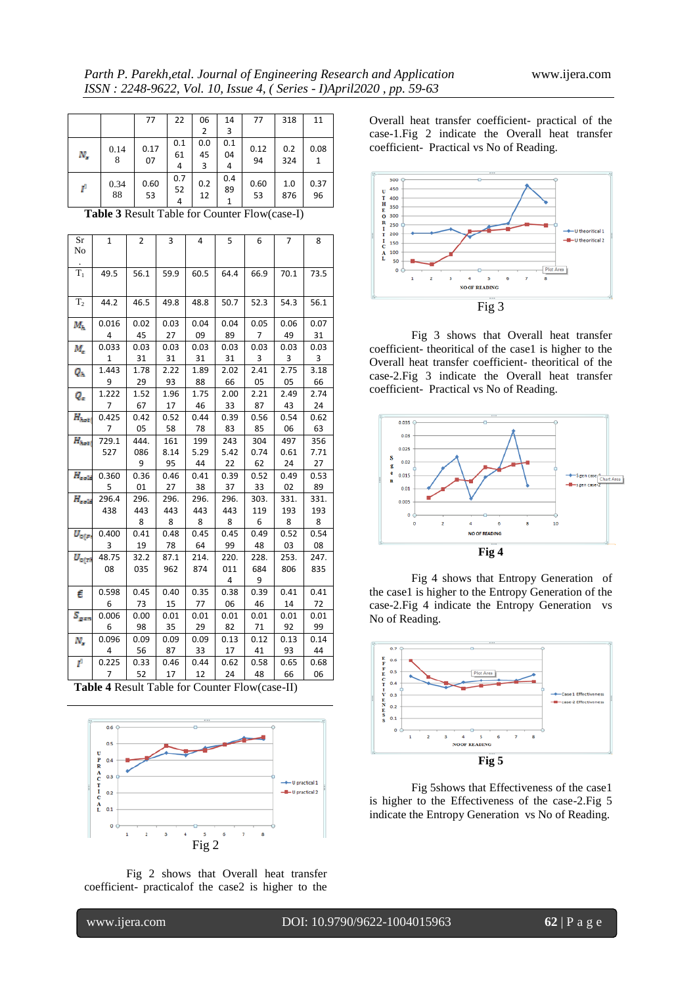|    |            | 77         | 22             | 06             | 14             | 77         | 318        | 11         |
|----|------------|------------|----------------|----------------|----------------|------------|------------|------------|
|    |            |            |                | 2              | 3              |            |            |            |
| N, | 0.14<br>8  | 0.17<br>07 | 0.1<br>61<br>4 | 0.0<br>45<br>3 | 0.1<br>04<br>4 | 0.12<br>94 | 0.2<br>324 | 0.08<br>1  |
| ŕ  | 0.34<br>88 | 0.60<br>53 | 0.7<br>52<br>4 | 0.2<br>12      | 0.4<br>89<br>1 | 0.60<br>53 | 1.0<br>876 | 0.37<br>96 |

**Table 3** Result Table for Counter Flow(case-I)

| Sr<br>No        | $\mathbf{1}$ | $\overline{2}$ | $\overline{3}$ | 4    | 5              | 6    | $\overline{7}$ | 8    |
|-----------------|--------------|----------------|----------------|------|----------------|------|----------------|------|
| $\mathbf{T}_1$  | 49.5         | 56.1           | 59.9           | 60.5 | 64.4           | 66.9 | 70.1           | 73.5 |
| T <sub>2</sub>  | 44.2         | 46.5           | 49.8           | 48.8 | 50.7           | 52.3 | 54.3           | 56.1 |
| $M_h$           | 0.016        | 0.02           | 0.03           | 0.04 | 0.04           | 0.05 | 0.06           | 0.07 |
|                 | 4            | 45             | 27             | 09   | 89             | 7    | 49             | 31   |
| М.              | 0.033        | 0.03           | 0.03           | 0.03 | 0.03           | 0.03 | 0.03           | 0.03 |
|                 | 1            | 31             | 31             | 31   | 31             | 3    | 3              | 3    |
| Qr.             | 1.443        | 1.78           | 2.22           | 1.89 | 2.02           | 2.41 | 2.75           | 3.18 |
|                 | 9            | 29             | 93             | 88   | 66             | 05   | 05             | 66   |
| Q,              | 1.222        | 1.52           | 1.96           | 1.75 | 2.00           | 2.21 | 2.49           | 2.74 |
|                 | 7            | 67             | 17             | 46   | 33             | 87   | 43             | 24   |
| $H_{host}$      | 0.425        | 0.42           | 0.52           | 0.44 | 0.39           | 0.56 | 0.54           | 0.62 |
|                 | 7            | 05             | 58             | 78   | 83             | 85   | 06             | 63   |
| $H_{hct}$       | 729.1        | 444.           | 161            | 199  | 243            | 304  | 497            | 356  |
|                 | 527          | 086            | 8.14           | 5.29 | 5.42           | 0.74 | 0.61           | 7.71 |
|                 |              | 9              | 95             | 44   | 22             | 62   | 24             | 27   |
| $H_{\rm cold}$  | 0.360        | 0.36           | 0.46           | 0.41 | 0.39           | 0.52 | 0.49           | 0.53 |
|                 | 5            | 01             | 27             | 38   | 37             | 33   | 02             | 89   |
| $H_{\rm cold}$  | 296.4        | 296.           | 296.           | 296. | 296.           | 303. | 331.           | 331. |
|                 | 438          | 443            | 443            | 443  | 443            | 119  | 193            | 193  |
|                 |              | 8              | 8              | 8    | 8              | 6    | 8              | 8    |
| $U_{\alpha(r)}$ | 0.400        | 0.41           | 0.48           | 0.45 | 0.45           | 0.49 | 0.52           | 0.54 |
|                 | 3            | 19             | 78             | 64   | 99             | 48   | 03             | 08   |
| $U_{\alpha(T)}$ | 48.75        | 32.2           | 87.1           | 214. | 220.           | 228. | 253.           | 247. |
|                 | 08           | 035            | 962            | 874  | 011            | 684  | 806            | 835  |
|                 |              |                |                |      | $\overline{4}$ | 9    |                |      |
| €               | 0.598        | 0.45           | 0.40           | 0.35 | 0.38           | 0.39 | 0.41           | 0.41 |
|                 | 6            | 73             | 15             | 77   | 06             | 46   | 14             | 72   |
| $S_{gen}$       | 0.006        | 0.00           | 0.01           | 0.01 | 0.01           | 0.01 | 0.01           | 0.01 |
|                 | 6            | 98             | 35             | 29   | 82             | 71   | 92             | 99   |
| N,              | 0.096        | 0.09           | 0.09           | 0.09 | 0.13           | 0.12 | 0.13           | 0.14 |
|                 | 4            | 56             | 87             | 33   | 17             | 41   | 93             | 44   |
| ť               | 0.225        | 0.33           | 0.46           | 0.44 | 0.62           | 0.58 | 0.65           | 0.68 |
|                 | 7            | 52             | 17             | 12   | 24             | 48   | 66             | 06   |

**Table 4** Result Table for Counter Flow(case-II)



Fig 2 shows that Overall heat transfer coefficient- practicalof the case2 is higher to the

Overall heat transfer coefficient- practical of the case-1.Fig 2 indicate the Overall heat transfer coefficient- Practical vs No of Reading.



Fig 3 shows that Overall heat transfer coefficient- theoritical of the case1 is higher to the Overall heat transfer coefficient- theoritical of the case-2.Fig 3 indicate the Overall heat transfer coefficient- Practical vs No of Reading.



Fig 4 shows that Entropy Generation of the case1 is higher to the Entropy Generation of the case-2.Fig 4 indicate the Entropy Generation vs No of Reading.



Fig 5shows that Effectiveness of the case1 is higher to the Effectiveness of the case-2.Fig 5 indicate the Entropy Generation vs No of Reading.